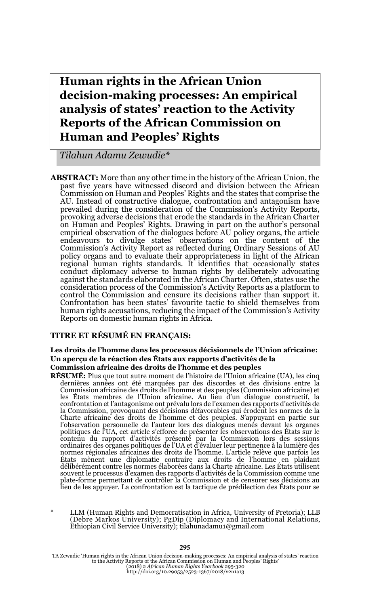**Human rights in the African Union decision-making processes: An empirical analysis of states' reaction to the Activity Reports of the African Commission on Human and Peoples' Rights**

*Tilahun Adamu Zewudie\**

**ABSTRACT:** More than any other time in the history of the African Union, the past five years have witnessed discord and division between the African Commission on Human and Peoples' Rights and the states that comprise the AU. Instead of constructive dialogue, confrontation and antagonism have prevailed during the consideration of the Commission's Activity Reports, provoking adverse decisions that erode the standards in the African Charter on Human and Peoples' Rights. Drawing in part on the author's personal empirical observation of the dialogues before AU policy organs, the article endeavours to divulge states' observations on the content of the Commission's Activity Report as reflected during Ordinary Sessions of AU policy organs and to evaluate their appropriateness in light of the African regional human rights standards. It identifies that occasionally states conduct diplomacy adverse to human rights by deliberately advocating against the standards elaborated in the African Charter. Often, states use the consideration process of the Commission's Activity Reports as a platform to control the Commission and censure its decisions rather than support it. Confrontation has been states' favourite tactic to shield themselves from human rights accusations, reducing the impact of the Commission's Activity Reports on domestic human rights in Africa.

### **TITRE ET RÉSUMÉ EN FRANÇAIS:**

### **Les droits de l'homme dans les processus décisionnels de l'Union africaine: Un aperçu de la réaction des États aux rapports d'activités de la Commission africaine des droits de l'homme et des peuples**

**RÉSUMÉ:** Plus que tout autre moment de l'histoire de l'Union africaine (UA), les cinq dernières années ont été marquées par des discordes et des divisions entre la Commission africaine des droits de l'homme et des peuples (Commission africaine) et les États membres de l'Union africaine. Au lieu d'un dialogue constructif, la confrontation et l'antagonisme ont prévalu lors de l'examen des rapports d'activités de la Commission, provoquant des décisions défavorables qui érodent les normes de la<br>Charte africaine des droits de l'homme et des peuples. S'appuyant en partie sur<br>l'observation personnelle de l'auteur lors des dialogues men politiques de l'UA, cet article s'efforce de présenter les observations des États sur le<br>contenu du rapport d'activités présenté par la Commission lors des sessions<br>ordinaires des organes politiques de l'UA et d' normes régionales africaines des droits de l'homme. L'article relève que parfois les États mènent une diplomatie contraire aux droits de l'homme en plaidant délibérément contre les normes élaborées dans la Charte africaine. Les États utilisent souvent le processus d'examen des rapports d'activités de la Commission comme une<br>plate-forme permettant de contrôler la Commission et de censurer ses décisions au<br>lieu de les appuyer. La confrontation est la tactique de p

LLM (Human Rights and Democratisation in Africa, University of Pretoria); LLB (Debre Markos University); PgDip (Diplomacy and International Relations, Ethiopian Civil Service University); tilahunadamu1@gmail.com

TA Zewudie 'Human rights in the African Union decision-making processes: An empirical analysis of states' reaction<br>to the Activity Reports of the African Commission on Human and Peoples' Rights'<br>(2018) 2 African Human Rig

#### 295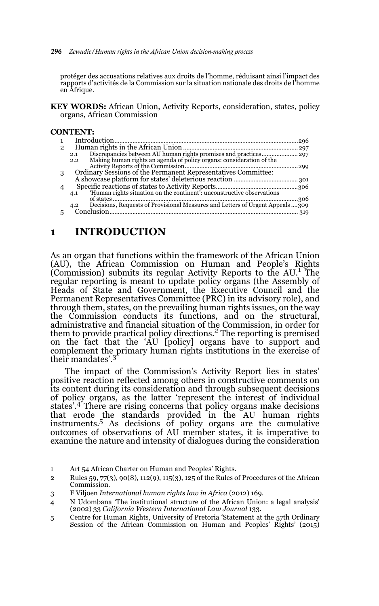#### 296 *Zewudie/Human rights in the African Union decision-making process*

protéger des accusations relatives aux droits de l'homme, réduisant ainsi l'impact des rapports d'activités de la Commission sur la situation nationale des droits de l'homme en Afrique.

**KEY WORDS:** African Union, Activity Reports, consideration, states, policy organs, African Commission

### **CONTENT:**

| 2 |                                                                                     |  |
|---|-------------------------------------------------------------------------------------|--|
|   | 2.1                                                                                 |  |
|   | 2.2                                                                                 |  |
|   |                                                                                     |  |
|   | Ordinary Sessions of the Permanent Representatives Committee:                       |  |
|   |                                                                                     |  |
|   |                                                                                     |  |
|   | 'Human rights situation on the continent': unconstructive observations<br>4.1       |  |
|   |                                                                                     |  |
|   | Decisions, Requests of Provisional Measures and Letters of Urgent Appeals309<br>4.2 |  |
|   | Conclusion                                                                          |  |
|   |                                                                                     |  |

# **1 INTRODUCTION**

As an organ that functions within the framework of the African Union (AU), the African Commission on Human and People's Rights (Commission) submits its regular Activity Reports to the AU.1 The regular reporting is meant to update policy organs (the Assembly of Heads of State and Government, the Executive Council and the Permanent Representatives Committee (PRC) in its advisory role), and through them, states, on the prevailing human rights issues, on the way the Commission conducts its functions, and on the structural, administrative and financial situation of the Commission, in order for them to provide practical policy directions.<sup>2</sup> The reporting is premised on the fact that the 'AU [policy] organs have to support and complement the primary human rights institutions in the exercise of their mandates'.3

The impact of the Commission's Activity Report lies in states' positive reaction reflected among others in constructive comments on its content during its consideration and through subsequent decisions of policy organs, as the latter 'represent the interest of individual states'.4 There are rising concerns that policy organs make decisions that erode the standards provided in the AU human rights instruments.5 As decisions of policy organs are the cumulative outcomes of observations of AU member states, it is imperative to examine the nature and intensity of dialogues during the consideration

<sup>1</sup> Art 54 African Charter on Human and Peoples' Rights.

<sup>2</sup> Rules 59, 77(3), 90(8), 112(9), 115(3), 125 of the Rules of Procedures of the African Commission.

<sup>3</sup> F Viljoen *International human rights law in Africa* (2012) 169.

<sup>4</sup> N Udombana 'The institutional structure of the African Union: a legal analysis' (2002) 33 *California Western International Law Journal* 133.

<sup>5</sup> Centre for Human Rights, University of Pretoria 'Statement at the 57th Ordinary Session of the African Commission on Human and Peoples' Rights' (2015)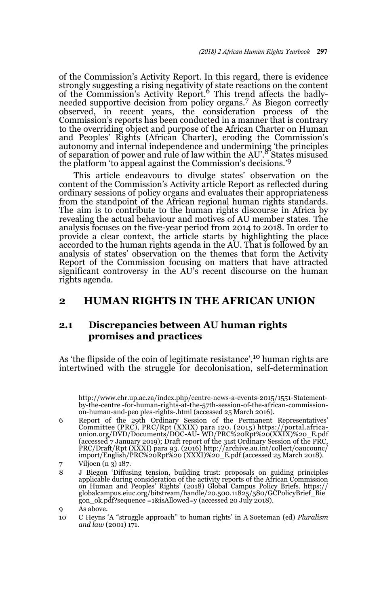of the Commission's Activity Report. In this regard, there is evidence strongly suggesting a rising negativity of state reactions on the content<br>of the Commission's Activity Report.<sup>6</sup> This trend affects the badlyneeded supportive decision from policy organs.7 As Biegon correctly observed, in recent years, the consideration process of the Commission's reports has been conducted in a manner that is contrary to the overriding object and purpose of the African Charter on Human and Peoples' Rights (African Charter), eroding the Commission's autonomy and internal independence and undermining 'the principles of separation of power and rule of law within the AU'.8 States misused the platform 'to appeal against the Commission's decisions.'<sup>9</sup>

This article endeavours to divulge states' observation on the content of the Commission's Activity article Report as reflected during ordinary sessions of policy organs and evaluates their appropriateness from the standpoint of the African regional human rights standards. The aim is to contribute to the human rights discourse in Africa by revealing the actual behaviour and motives of AU member states. The analysis focuses on the five-year period from 2014 to 2018. In order to provide a clear context, the article starts by highlighting the place accorded to the human rights agenda in the AU. That is followed by an analysis of states' observation on the themes that form the Activity Report of the Commission focusing on matters that have attracted significant controversy in the AU's recent discourse on the human rights agenda.

# **2 HUMAN RIGHTS IN THE AFRICAN UNION**

## **2.1 Discrepancies between AU human rights promises and practices**

As 'the flipside of the coin of legitimate resistance',<sup>10</sup> human rights are intertwined with the struggle for decolonisation, self-determination

5 http://www.chr.up.ac.za/index.php/centre-news-a-events-2015/1551-Statementby-the-centre -for-human-rights-at-the-57th-session-of-the-african-commissionon-human-and-peo ples-rights-.html (accessed 25 March 2016).

6 Report of the 29th Ordinary Session of the Permanent Representatives' Committee (PRC), PRC/Rpt (XXIX) para 120. (2015) https://portal.africa-union.org/DVD/Documents/DOC-AU- WD/PRC%20Rpt%20(XXIX)%20\_E.pdf (accessed 7 January 2019); Draft report of the 31st Ordinary Session of the PRC,<br>PRC/Draft/Rpt (XXXI) para 93. (2016) http://archive.au.int/collect/oaucounc/<br>import/English/PRC%20Rpt%20 (XXXI)%20\_E.pdf (accessed 25 March 2 Viljoen (n 3) 187.

<sup>8</sup> J Biegon 'Diffusing tension, building trust: proposals on guiding principles applicable during consideration of the activity reports of the African Commission on Human and Peoples' Rights' (2018) Global Campus Policy Briefs. https:// globalcampus.eiuc.org/bitstream/handle/20.500.11825/580/GCPolicyBrief\_Bie gon\_ok.pdf?sequence =1&isAllowed=y (accessed 20 July 2018).

<sup>9</sup> As above.

<sup>10</sup> C Heyns 'A "struggle approach" to human rights' in A Soeteman (ed) *Pluralism and law* (2001) 171.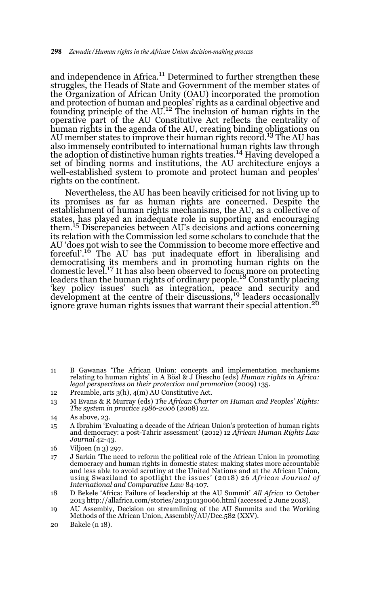and independence in Africa.<sup>11</sup> Determined to further strengthen these struggles, the Heads of State and Government of the member states of the Organization of African Unity (OAU) incorporated the promotion and protection of human and peoples' rights as a cardinal objective and<br>founding principle of the AU.<sup>12</sup> The inclusion of human rights in the operative part of the AU Constitutive Act reflects the centrality of human rights in the agenda of the AU, creating binding obligations on AU member states to improve their human rights record.<sup>13</sup> The AU has also immensely contributed to international human rights law through the adoption of distinctive human rights treaties.14 Having developed a set of binding norms and institutions, the AU architecture enjoys a well-established system to promote and protect human and peoples' rights on the continent.

Nevertheless, the AU has been heavily criticised for not living up to its promises as far as human rights are concerned. Despite the establishment of human rights mechanisms, the AU, as a collective of states, has played an inadequate role in supporting and encouraging them.15 Discrepancies between AU's decisions and actions concerning its relation with the Commission led some scholars to conclude that the AU 'does not wish to see the Commission to become more effective and forceful'.16 The AU has put inadequate effort in liberalising and democratising its members and in promoting human rights on the domestic level.17 It has also been observed to focus more on protecting leaders than the human rights of ordinary people.<sup>18</sup> Constantly placing key policy issues' such as integration, peace and security and<br>development at the centre of their discussions,<sup>19</sup> leaders occasionally ignore grave human rights issues that warrant their special attention.<sup>20</sup>

- 11 B Gawanas 'The African Union: concepts and implementation mechanisms relating to human rights' in A Bösl & J Diescho (eds) *Human rights in Africa: legal perspectives on their protection and promotion* (2009) 135.
- 12 Preamble, arts 3(h), 4(m) AU Constitutive Act.
- 13 M Evans & R Murray (eds) *The African Charter on Human and Peoples' Rights: The system in practice 1986-2006* (2008) 22.

15 A Ibrahim 'Evaluating a decade of the African Union's protection of human rights and democracy: a post-Tahrir assessment' (2012) 12 *African Human Rights Law Journal* 42-43.

- 17 J Sarkin 'The need to reform the political role of the African Union in promoting democracy and human rights in domestic states: making states more accountable and less able to avoid scrutiny at the United Nations and at the African Union, using Swaziland to spotlight the issues' (2018) 26 *African Journal of International and Comparative Law* 84-107.
- 18 D Bekele 'Africa: Failure of leadership at the AU Summit' *All Africa* 12 October 2013 http://allafrica.com/stories/201310130066.html (accessed 2 June 2018).
- 19 AU Assembly, Decision on streamlining of the AU Summits and the Working Methods of the African Union, Assembly/AU/Dec.582 (XXV).
- 20 Bakele (n 18).

<sup>14</sup> As above, 23.

<sup>16</sup> Viljoen (n 3) 297.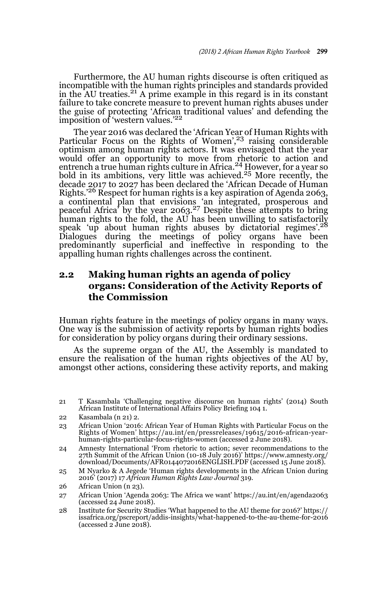Furthermore, the AU human rights discourse is often critiqued as incompatible with the human rights principles and standards provided in the AU treaties.<sup>21</sup> A prime example in this regard is in its constant failure to take concrete measure to prevent human rights abuses under the guise of protecting 'African traditional values' and defending the imposition of 'western values.'<sup>22</sup>

The year 2016 was declared the 'African Year of Human Rights with Particular Focus on the Rights of Women',<sup>23</sup> raising considerable optimism among human rights actors. It was envisaged that the year would offer an opportunity to move from rhetoric to action and entrench a true human rights culture in Africa.<sup>24</sup> However, for a year so bold in its ambitions, very little was achieved.25 More recently, the decade 2017 to 2027 has been declared the 'African Decade of Human Rights.<sup>26</sup> Respect for human rights is a key aspiration of Agenda 2063, a continental plan that envisions 'an integrated, prosperous and<br>peaceful Africa' by the year 2063.<sup>27</sup> Despite these attempts to bring human rights to the fold, the AU has been unwilling to satisfactorily speak 'up about human rights abuses by dictatorial regimes'.28 Dialogues during the meetings of policy organs have been predominantly superficial and ineffective in responding to the appalling human rights challenges across the continent.

## **2.2 Making human rights an agenda of policy organs: Consideration of the Activity Reports of the Commission**

Human rights feature in the meetings of policy organs in many ways. One way is the submission of activity reports by human rights bodies for consideration by policy organs during their ordinary sessions.

As the supreme organ of the AU, the Assembly is mandated to ensure the realisation of the human rights objectives of the AU by, amongst other actions, considering these activity reports, and making

- 25 M Nyarko & A Jegede 'Human rights developments in the African Union during 2016' (2017) 17 *African Human Rights Law Journal* 319.
- 26 African Union (n 23).
- 27 African Union 'Agenda 2063: The Africa we want' https://au.int/en/agenda2063 (accessed 24 June 2018).
- 28 Institute for Security Studies 'What happened to the AU theme for 2016?' https:// issafrica.org/pscreport/addis-insights/what-happened-to-the-au-theme-for-2016 (accessed 2 June 2018).

<sup>21</sup> T Kasambala 'Challenging negative discourse on human rights' (2014) South African Institute of International Affairs Policy Briefing 104 1.

<sup>22</sup> Kasambala (n 21) 2.

<sup>23</sup> African Union '2016: African Year of Human Rights with Particular Focus on the Rights of Women' https://au.int/en/pressreleases/19615/2016-african-yearhuman-rights-particular-focus-rights-women (accessed 2 June 2018).

<sup>24</sup> Amnesty International 'From rhetoric to action; sever recommendations to the 27th Summit of the African Union (10-18 July 2016)' https://www.amnesty.org/ download/Documents/AFR0144072016ENGLISH.PDF (accessed 15 June 2018).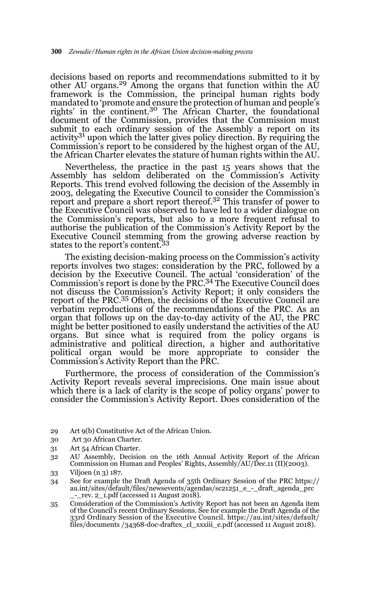decisions based on reports and recommendations submitted to it by other AU organs.<sup>29</sup> Among the organs that function within the  $A\dot{U}$ framework is the Commission, the principal human rights body mandated to 'promote and ensure the protection of human and people's rights' in the continent.30 The African Charter, the foundational document of the Commission, provides that the Commission must submit to each ordinary session of the Assembly a report on its activity<sup>31</sup> upon which the latter gives policy direction. By requiring the Commission's report to be considered by the highest organ of the AU, the African Charter elevates the stature of human rights within the AU.

Nevertheless, the practice in the past 15 years shows that the Assembly has seldom deliberated on the Commission's Activity Reports. This trend evolved following the decision of the Assembly in 2003, delegating the Executive Council to consider the Commission's report and prepare a short report thereof.32 This transfer of power to the Executive Council was observed to have led to a wider dialogue on the Commission's reports, but also to a more frequent refusal to authorise the publication of the Commission's Activity Report by the Executive Council stemming from the growing adverse reaction by states to the report's content.33

The existing decision-making process on the Commission's activity reports involves two stages: consideration by the PRC, followed by a decision by the Executive Council. The actual 'consideration' of the<br>Commission's report is done by the PRC.<sup>34</sup> The Executive Council does not discuss the Commission's Activity Report; it only considers the report of the PRC.35 Often, the decisions of the Executive Council are verbatim reproductions of the recommendations of the PRC. As an organ that follows up on the day-to-day activity of the AU, the PRC might be better positioned to easily understand the activities of the AU organs. But since what is required from the policy organs is administrative and political direction, a higher and authoritative political organ would be more appropriate to consider the Commission's Activity Report than the PRC.

Furthermore, the process of consideration of the Commission's Activity Report reveals several imprecisions. One main issue about which there is a lack of clarity is the scope of policy organs' power to consider the Commission's Activity Report. Does consideration of the

35 Consideration of the Commission's Activity Report has not been an Agenda item of the Council's recent Ordinary Sessions. See for example the Draft Agenda of the 33rd Ordinary Session of the Executive Council. https://au.int/sites/default/ files/documents /34368-doc-draftex\_cl\_xxxiii\_e.pdf (accessed 11 August 2018).

<sup>29</sup> Art 9(b) Constitutive Act of the African Union.

<sup>30</sup> Art 30 African Charter.

<sup>31</sup> Art 54 African Charter.

<sup>32</sup> AU Assembly, Decision on the 16th Annual Activity Report of the African Commission on Human and Peoples' Rights, Assembly/AU/Dec.11 (II)(2003).

<sup>33</sup> Viljoen (n 3) 187.

<sup>34</sup> See for example the Draft Agenda of 35th Ordinary Session of the PRC https:// au.int/sites/default/files/newsevents/agendas/sc21251\_e\_-\_draft\_agenda\_prc  $_{\text{--}}$  rev. 2 $_{\text{--}}$ 1.pdf (accessed 11 August 2018).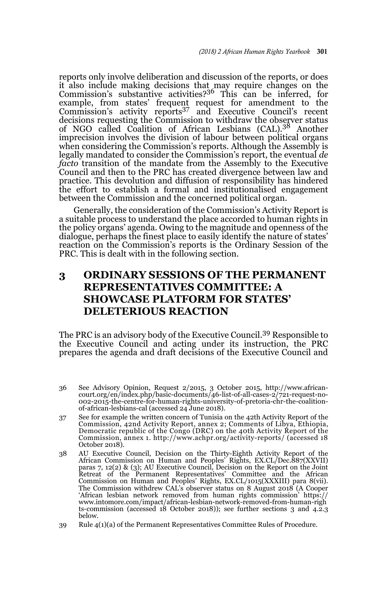reports only involve deliberation and discussion of the reports, or does it also include making decisions that may require changes on the Commission's substantive activities?36 This can be inferred, for example, from states' frequent request for amendment to the<br>Commission's activity reports<sup>37</sup> and Executive Council's recent decisions requesting the Commission to withdraw the observer status of NGO called Coalition of African Lesbians (CAL).38 Another imprecision involves the division of labour between political organs when considering the Commission's reports. Although the Assembly is legally mandated to consider the Commission's report, the eventual *de facto* transition of the mandate from the Assembly to the Executive Council and then to the PRC has created divergence between law and practice. This devolution and diffusion of responsibility has hindered the effort to establish a formal and institutionalised engagement between the Commission and the concerned political organ.

Generally, the consideration of the Commission's Activity Report is a suitable process to understand the place accorded to human rights in the policy organs' agenda. Owing to the magnitude and openness of the dialogue, perhaps the finest place to easily identify the nature of states' reaction on the Commission's reports is the Ordinary Session of the PRC. This is dealt with in the following section.

# **3 ORDINARY SESSIONS OF THE PERMANENT REPRESENTATIVES COMMITTEE: A SHOWCASE PLATFORM FOR STATES' DELETERIOUS REACTION**

The PRC is an advisory body of the Executive Council.39 Responsible to the Executive Council and acting under its instruction, the PRC prepares the agenda and draft decisions of the Executive Council and

- 36 See Advisory Opinion, Request 2/2015, 3 October 2015, http://www.africancourt.org/en/index.php/basic-documents/46-list-of-all-cases-2/721-request-no-002-2015-the-centre-for-human-rights-university-of-pretoria-chr-the-coalitionof-african-lesbians-cal (accessed 24 June 2018).
- 37 See for example the written concern of Tunisia on the 42th Activity Report of the Commission, 42nd Activity Report, annex 2; Comments of Libya, Ethiopia, Democratic republic of the Congo (DRC) on the 40th Activity Report of the Commission, annex 1. http://www.achpr.org/activity-reports/ (accessed 18 October 2018).
- 38 AU Executive Council, Decision on the Thirty-Eighth Activity Report of the African Commission on Human and Peoples' Rights, EX.CL/Dec.887(XXVII) paras 7, 12(2) & (3); AU Executive Council, Decision on the Report on the Joint Retreat of the Permanent Representatives' Committee and the African Commission on Human and Peoples' Rights, EX.CL/1015(XXXIII) para 8(vii). The Commission withdrew CAL's observer status on 8 August 2018 (A Cooper 'African lesbian network removed from human rights commission' https:// www.intomore.com/impact/african-lesbian-network-removed-from-human-righ ts-commission (accessed 18 October 2018)); see further sections 3 and 4.2.3 below.
- 39 Rule 4(1)(a) of the Permanent Representatives Committee Rules of Procedure.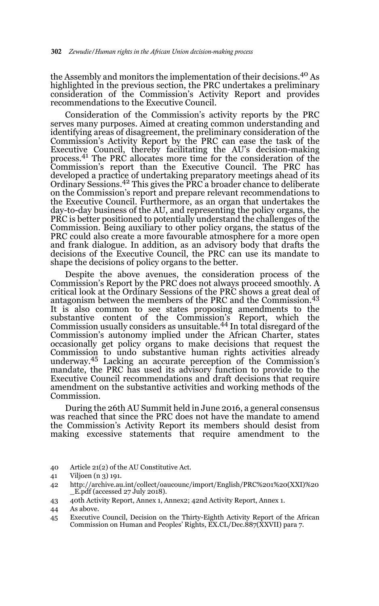the Assembly and monitors the implementation of their decisions.40 As highlighted in the previous section, the PRC undertakes a preliminary consideration of the Commission's Activity Report and provides recommendations to the Executive Council.

Consideration of the Commission's activity reports by the PRC serves many purposes. Aimed at creating common understanding and identifying areas of disagreement, the preliminary consideration of the Commission's Activity Report by the PRC can ease the task of the Executive Council, thereby facilitating the AU's decision-making process.41 The PRC allocates more time for the consideration of the Commission's report than the Executive Council. The PRC has developed a practice of undertaking preparatory meetings ahead of its Ordinary Sessions.42 This gives the PRC a broader chance to deliberate on the Commission's report and prepare relevant recommendations to the Executive Council. Furthermore, as an organ that undertakes the day-to-day business of the AU, and representing the policy organs, the PRC is better positioned to potentially understand the challenges of the Commission. Being auxiliary to other policy organs, the status of the PRC could also create a more favourable atmosphere for a more open and frank dialogue. In addition, as an advisory body that drafts the decisions of the Executive Council, the PRC can use its mandate to shape the decisions of policy organs to the better.

Despite the above avenues, the consideration process of the Commission's Report by the PRC does not always proceed smoothly. A critical look at the Ordinary Sessions of the PRC shows a great deal of antagonism between the members of the PRC and the Commission.43 It is also common to see states proposing amendments to the substantive content of the Commission's Report, which the Commission usually considers as unsuitable.44 In total disregard of the Commission's autonomy implied under the African Charter, states occasionally get policy organs to make decisions that request the Commission to undo substantive human rights activities already underway.<sup>45</sup> Lacking an accurate perception of the Commission's mandate, the PRC has used its advisory function to provide to the Executive Council recommendations and draft decisions that require amendment on the substantive activities and working methods of the Commission.

During the 26th AU Summit held in June 2016, a general consensus was reached that since the PRC does not have the mandate to amend the Commission's Activity Report its members should desist from making excessive statements that require amendment to the

<sup>40</sup> Article 21(2) of the AU Constitutive Act.

<sup>41</sup> Viljoen (n 3) 191.

<sup>42</sup> http://archive.au.int/collect/oaucounc/import/English/PRC%201%20(XXI)%20  $E$ .pdf (accessed 27 July 2018).

<sup>43 40</sup>th Activity Report, Annex 1, Annex2; 42nd Activity Report, Annex 1.

<sup>44</sup> As above.

<sup>45</sup> Executive Council, Decision on the Thirty-Eighth Activity Report of the African Commission on Human and Peoples' Rights, EX.CL/Dec.887(XXVII) para 7.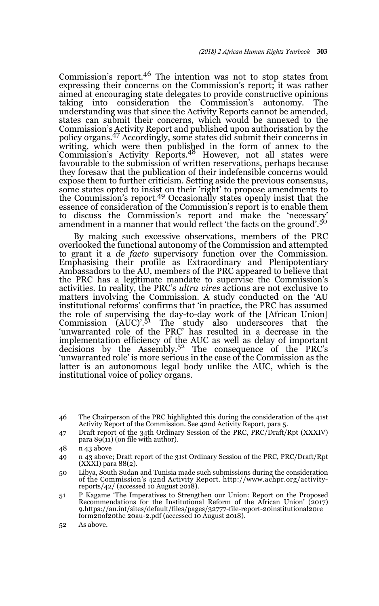Commission's report.46 The intention was not to stop states from expressing their concerns on the Commission's report; it was rather aimed at encouraging state delegates to provide constructive opinions taking into consideration the Commission's autonomy. The understanding was that since the Activity Reports cannot be amended, states can submit their concerns, which would be annexed to the Commission's Activity Report and published upon authorisation by the policy organs.47 Accordingly, some states did submit their concerns in writing, which were then published in the form of annex to the Commission's Activity Reports.<sup>48</sup> However, not all states were favourable to the submission of written reservations, perhaps because they foresaw that the publication of their indefensible concerns would expose them to further criticism. Setting aside the previous consensus, some states opted to insist on their 'right' to propose amendments to the Commission's report.<sup>49</sup> Occasionally states openly insist that the essence of consideration of the Commission's report is to enable them to discuss the Commission's report and make the 'necessary' amendment in a manner that would reflect 'the facts on the ground'.<sup>50</sup>

By making such excessive observations, members of the PRC overlooked the functional autonomy of the Commission and attempted to grant it a *de facto* supervisory function over the Commission. Emphasising their profile as Extraordinary and Plenipotentiary Ambassadors to the AU, members of the PRC appeared to believe that the PRC has a legitimate mandate to supervise the Commission's activities. In reality, the PRC's *ultra vires* actions are not exclusive to matters involving the Commission. A study conducted on the 'AU institutional reforms' confirms that 'in practice, the PRC has assumed the role of supervising the day-to-day work of the [African Union]<br>Commission (AUC)'.<sup>51</sup> The study also underscores that the 'unwarranted role of the PRC' has resulted in a decrease in the implementation efficiency of the AUC as well as delay of important decisions by the Assembly.<sup>52</sup> The consequence of the PRC's 'unwarranted role' is more serious in the case of the Commission as the latter is an autonomous legal body unlike the AUC, which is the institutional voice of policy organs.

<sup>46</sup> The Chairperson of the PRC highlighted this during the consideration of the 41st Activity Report of the Commission. See 42nd Activity Report, para 5.

<sup>47</sup> Draft report of the 34th Ordinary Session of the PRC, PRC/Draft/Rpt (XXXIV) para  $89(11)$  (on file with author).

<sup>48</sup> n 43 above

<sup>49</sup> n 43 above; Draft report of the 31st Ordinary Session of the PRC, PRC/Draft/Rpt (XXXI) para 88(2).

<sup>50</sup> Libya, South Sudan and Tunisia made such submissions during the consideration of the Commission's 42nd Activity Report. http://www.achpr.org/activityreports/42/ (accessed 10 August 2018).

<sup>51</sup> P Kagame 'The Imperatives to Strengthen our Union: Report on the Proposed Recommendations for the Institutional Reform of the African Union' (2017) 9.https://au.int/sites/default/files/pages/32777-file-report-20institutional20re form20of20the 20au-2.pdf (accessed 10 August 2018).

<sup>52</sup> As above.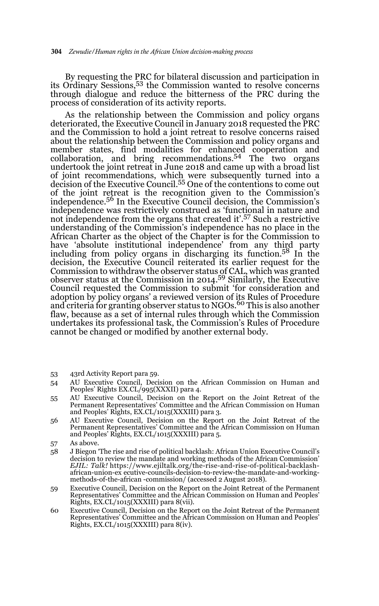By requesting the PRC for bilateral discussion and participation in its Ordinary Sessions,53 the Commission wanted to resolve concerns through dialogue and reduce the bitterness of the PRC during the process of consideration of its activity reports.

As the relationship between the Commission and policy organs deteriorated, the Executive Council in January 2018 requested the PRC and the Commission to hold a joint retreat to resolve concerns raised about the relationship between the Commission and policy organs and member states, find modalities for enhanced cooperation and collaboration, and bring recommendations.54 The two organs undertook the joint retreat in June 2018 and came up with a broad list of joint recommendations, which were subsequently turned into a decision of the Executive Council.55 One of the contentions to come out of the joint retreat is the recognition given to the Commission's independence.56 In the Executive Council decision, the Commission's independence was restrictively construed as 'functional in nature and not independence from the organs that created it'.57 Such a restrictive understanding of the Commission's independence has no place in the African Charter as the object of the Chapter is for the Commission to have 'absolute institutional independence' from any third party including from policy organs in discharging its function.58 In the decision, the Executive Council reiterated its earlier request for the Commission to withdraw the observer status of CAL, which was granted observer status at the Commission in 2014.59 Similarly, the Executive Council requested the Commission to submit 'for consideration and adoption by policy organs' a reviewed version of its Rules of Procedure<br>and criteria for granting observer status to NGOs.<sup>60</sup> This is also another flaw, because as a set of internal rules through which the Commission undertakes its professional task, the Commission's Rules of Procedure cannot be changed or modified by another external body.

- 53 43rd Activity Report para 59.
- 54 AU Executive Council, Decision on the African Commission on Human and Peoples' Rights EX.CL/995(XXXII) para 4.
- 55 AU Executive Council, Decision on the Report on the Joint Retreat of the Permanent Representatives' Committee and the African Commission on Human and Peoples' Rights, EX.CL/1015(XXXIII) para 3.
- 56 AU Executive Council, Decision on the Report on the Joint Retreat of the Permanent Representatives' Committee and the African Commission on Human and Peoples' Rights, EX.CL/1015(XXXIII) para 5.

- 58 J Biegon 'The rise and rise of political backlash: African Union Executive Council's decision to review the mandate and working methods of the African Commission' *EJIL: Talk!* https://www.ejiltalk.org/the-rise-and-rise-of-political-backlashafrican-union-ex ecutive-councils-decision-to-review-the-mandate-and-workingmethods-of-the-african -commission/ (accessed 2 August 2018).
- 59 Executive Council, Decision on the Report on the Joint Retreat of the Permanent Representatives' Committee and the African Commission on Human and Peoples' Rights, EX.CL/1015(XXXIII) para 8(vii).
- 60 Executive Council, Decision on the Report on the Joint Retreat of the Permanent Representatives' Committee and the African Commission on Human and Peoples' Rights, EX.CL/1015(XXXIII) para 8(iv).

<sup>57</sup> As above.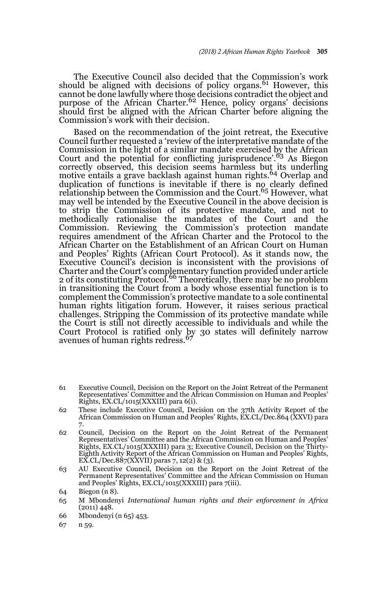The Executive Council also decided that the Commission's work should be aligned with decisions of policy organs.<sup>61</sup> However, this cannot be done lawfully where those decisions contradict the object and<br>purpose of the African Charter.<sup>62</sup> Hence, policy organs' decisions should first be aligned with the African Charter before aligning the Commission's work with their decision.

Based on the recommendation of the joint retreat, the Executive Council further requested a 'review of the interpretative mandate of the Commission in the light of a similar mandate exercised by the African Court and the potential for conflicting jurisprudence'.63 As Biegon correctly observed, this decision seems harmless but its underling motive entails a grave backlash against human rights.64 Overlap and duplication of functions is inevitable if there is no clearly defined<br>relationship between the Commission and the Court.<sup>65</sup> However, what may well be intended by the Executive Council in the above decision is to strip the Commission of its protective mandate, and not to methodically rationalise the mandates of the Court and the Commission. Reviewing the Commission's protection mandate requires amendment of the African Charter and the Protocol to the African Charter on the Establishment of an African Court on Human and Peoples' Rights (African Court Protocol). As it stands now, the Executive Council's decision is inconsistent with the provisions of Charter and the Court's complementary function provided under article 2 of its constituting Protocol.66 Theoretically, there may be no problem in transitioning the Court from a body whose essential function is to complement the Commission's protective mandate to a sole continental human rights litigation forum. However, it raises serious practical challenges. Stripping the Commission of its protective mandate while the Court is still not directly accessible to individuals and while the Court Protocol is ratified only by 30 states will definitely narrow<br>avenues of human rights redress.<sup>67</sup>

- 61 Executive Council, Decision on the Report on the Joint Retreat of the Permanent Representatives' Committee and the African Commission on Human and Peoples' Rights, EX.CL/1015(XXXIII) para 6(i).
- 62 These include Executive Council, Decision on the 37th Activity Report of the African Commission on Human and Peoples' Rights, EX.CL/Dec.864 (XXVI) para 7.
- 62 Council, Decision on the Report on the Joint Retreat of the Permanent Representatives' Committee and the African Commission on Human and Peoples' Rights, EX.CL/1015(XXXIII) para 3; Executive Council, Decision on the Thirty-Eighth Activity Report of the African Commission on Human and Peoples' Rights, EX.CL/Dec.887(XXVII) paras 7, 12(2) & (3).
- 63 AU Executive Council, Decision on the Report on the Joint Retreat of the Permanent Representatives' Committee and the African Commission on Human and Peoples' Rights, EX.CL/1015(XXXIII) para 7(iii).

- 65 M Mbondenyi *International human rights and their enforcement in Africa* (2011) 448.
- 66 Mbondenyi (n 65) 453.
- 67 n 59.

<sup>64</sup> Biegon (n 8).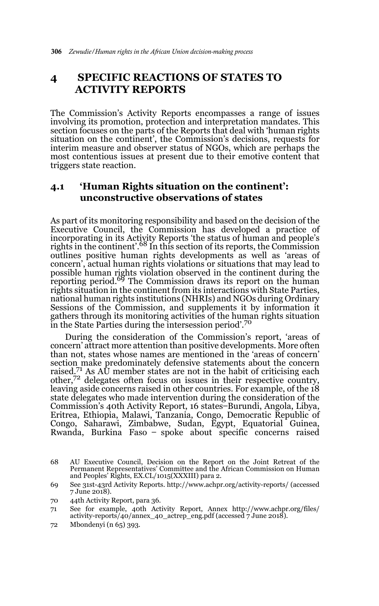# **4 SPECIFIC REACTIONS OF STATES TO ACTIVITY REPORTS**

The Commission's Activity Reports encompasses a range of issues involving its promotion, protection and interpretation mandates. This section focuses on the parts of the Reports that deal with 'human rights situation on the continent', the Commission's decisions, requests for interim measure and observer status of NGOs, which are perhaps the most contentious issues at present due to their emotive content that triggers state reaction.

# **4.1 'Human Rights situation on the continent': unconstructive observations of states**

As part of its monitoring responsibility and based on the decision of the Executive Council, the Commission has developed a practice of incorporating in its Activity Reports 'the status of human and people's rights in the continent'.68 In this section of its reports, the Commission outlines positive human rights developments as well as 'areas of concern', actual human rights violations or situations that may lead to possible human rights violation observed in the continent during the reporting period.<sup>69</sup> The Commission draws its report on the human rights situation in the continent from its interactions with State Parties, national human rights institutions (NHRIs) and NGOs during Ordinary Sessions of the Commission, and supplements it by information it gathers through its monitoring activities of the human rights situation in the State Parties during the intersession period'.<sup>70</sup>

During the consideration of the Commission's report, 'areas of concern' attract more attention than positive developments. More often than not, states whose names are mentioned in the 'areas of concern' section make predominately defensive statements about the concern raised.<sup>71</sup> As  $\text{AU}$  member states are not in the habit of criticising each  $other, 72$  delegates often focus on issues in their respective country, leaving aside concerns raised in other countries. For example, of the 18 state delegates who made intervention during the consideration of the Commission's 40th Activity Report, 16 states ̶ Burundi, Angola, Libya, Eritrea, Ethiopia, Malawi, Tanzania, Congo, Democratic Republic of Congo, Saharawi, Zimbabwe, Sudan, Egypt, Equatorial Guinea, Rwanda, Burkina Faso ̶ spoke about specific concerns raised

- 70 44th Activity Report, para 36.
- 71 See for example, 40th Activity Report, Annex http://www.achpr.org/files/ activity-reports/40/annex\_40\_actrep\_eng.pdf (accessed 7 June 2018).
- 72 Mbondenyi (n 65) 393.

<sup>68</sup> AU Executive Council, Decision on the Report on the Joint Retreat of the Permanent Representatives' Committee and the African Commission on Human and Peoples' Rights, EX.CL/1015(XXXIII) para 2.

<sup>69</sup> See 31st-43rd Activity Reports. http://www.achpr.org/activity-reports/ (accessed 7 June 2018).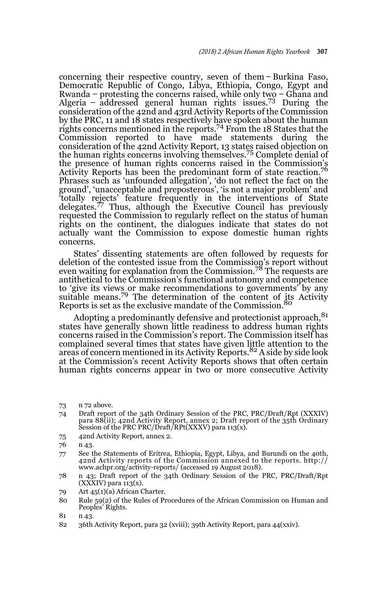concerning their respective country, seven of them ̶ Burkina Faso, Democratic Republic of Congo, Libya, Ethiopia, Congo, Egypt and Rwanda – protesting the concerns raised, while only two – Ghana and<br>Algeria – addressed general human rights issues.<sup>73</sup> During the consideration of the 42nd and 43rd Activity Reports of the Commission by the PRC, 11 and 18 states respectively have spoken about the human rights concerns mentioned in the reports.74 From the 18 States that the Commission reported to have made statements during the consideration of the 42nd Activity Report, 13 states raised objection on the human rights concerns involving themselves.75 Complete denial of the presence of human rights concerns raised in the Commission's Activity Reports has been the predominant form of state reaction.<sup>76</sup> Phrases such as 'unfounded allegation', 'do not reflect the fact on the ground', 'unacceptable and preposterous', 'is not a major problem' and 'totally rejects' feature frequently in the interventions of State delegates.<sup>77</sup> Thus, although the Executive Council has previously requested the Commission to regularly reflect on the status of human rights on the continent, the dialogues indicate that states do not actually want the Commission to expose domestic human rights concerns.

States' dissenting statements are often followed by requests for deletion of the contested issue from the Commission's report without even waiting for explanation from the Commission.<sup>78</sup> The requests are antithetical to the Commission's functional autonomy and competence to 'give its views or make recommendations to governments' by any suitable means.<sup>79</sup> The determination of the content of its Activity Reports is set as the exclusive mandate of the Commission.<sup>80</sup>

Adopting a predominantly defensive and protectionist approach,<sup>81</sup> states have generally shown little readiness to address human rights concerns raised in the Commission's report. The Commission itself has complained several times that states have given little attention to the areas of concern mentioned in its Activity Reports.82 A side by side look at the Commission's recent Activity Reports shows that often certain human rights concerns appear in two or more consecutive Activity

- 74 Draft report of the 34th Ordinary Session of the PRC, PRC/Draft/Rpt (XXXIV) para 88(ii); 42nd Activity Report, annex 2; Draft report of the 35th Ordinary Session of the PRC PRC/Draft/RPt(XXXV) para 113(x).
- 75 42nd Activity Report, annex 2.
- 76 n 43.
- 77 See the Statements of Eritrea, Ethiopia, Egypt, Libya, and Burundi on the 40th, 42nd Activity reports of the Commission annexed to the reports. http:// www.achpr.org/activity-reports/ (accessed 19 August 2018).
- 78 n 43; Draft report of the 34th Ordinary Session of the PRC, PRC/Draft/Rpt  $\overline{(XXXIV)}$  para  $113(x)$ .
- 79 Art 45(1)(a) African Charter.
- 80 Rule 59(2) of the Rules of Procedures of the African Commission on Human and Peoples' Rights.
- 81 n 43.
- 82 36th Activity Report, para 32 (xviii); 39th Activity Report, para 44(xxiv).

<sup>73</sup> n 72 above.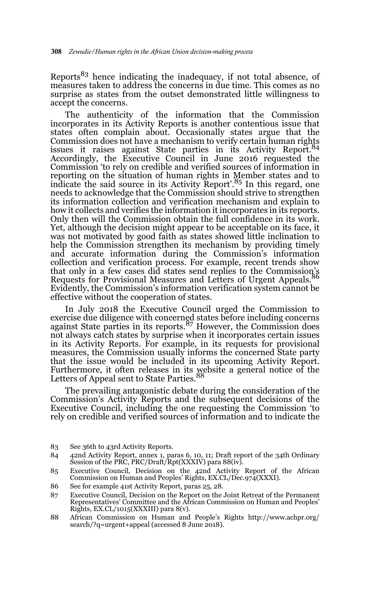Reports $83$  hence indicating the inadequacy, if not total absence, of measures taken to address the concerns in due time. This comes as no surprise as states from the outset demonstrated little willingness to accept the concerns.

The authenticity of the information that the Commission incorporates in its Activity Reports is another contentious issue that states often complain about. Occasionally states argue that the Commission does not have a mechanism to verify certain human rights issues it raises against State parties in its Activity Report.<sup>84</sup> Accordingly, the Executive Council in June 2016 requested the Commission 'to rely on credible and verified sources of information in reporting on the situation of human rights in Member states and to indicate the said source in its Activity Report'.85 In this regard, one needs to acknowledge that the Commission should strive to strengthen its information collection and verification mechanism and explain to how it collects and verifies the information it incorporates in its reports. Only then will the Commission obtain the full confidence in its work. Yet, although the decision might appear to be acceptable on its face, it was not motivated by good faith as states showed little inclination to help the Commission strengthen its mechanism by providing timely and accurate information during the Commission's information collection and verification process. For example, recent trends show that only in a few cases did states send replies to the Commission's Requests for Provisional Measures and Letters of Urgent Appeals. Evidently, the Commission's information verification system cannot be effective without the cooperation of states.

In July 2018 the Executive Council urged the Commission to exercise due diligence with concerned states before including concerns<br>against State parties in its reports.<sup>87</sup> However, the Commission does not always catch states by surprise when it incorporates certain issues in its Activity Reports. For example, in its requests for provisional measures, the Commission usually informs the concerned State party that the issue would be included in its upcoming Activity Report. Furthermore, it often releases in its website a general notice of the<br>Letters of Appeal sent to State Parties.<sup>88</sup>

The prevailing antagonistic debate during the consideration of the Commission's Activity Reports and the subsequent decisions of the Executive Council, including the one requesting the Commission 'to rely on credible and verified sources of information and to indicate the

- 84 42nd Activity Report, annex 1, paras 6, 10, 11; Draft report of the 34th Ordinary Session of the PRC, PRC/Draft/Rpt(XXXIV) para 88(iv).
- 85 Executive Council, Decision on the 42nd Activity Report of the African Commission on Human and Peoples' Rights, EX.CL/Dec.974(XXXI).
- 86 See for example 41st Activity Report, paras 25, 28.
- 87 Executive Council, Decision on the Report on the Joint Retreat of the Permanent Representatives' Committee and the African Commission on Human and Peoples' Rights, EX.CL/1015(XXXIII) para 8(v).
- 88 African Commission on Human and People's Rights http://www.achpr.org/ search/?q=urgent+appeal (accessed 8 June 2018).

<sup>83</sup> See 36th to 43rd Activity Reports.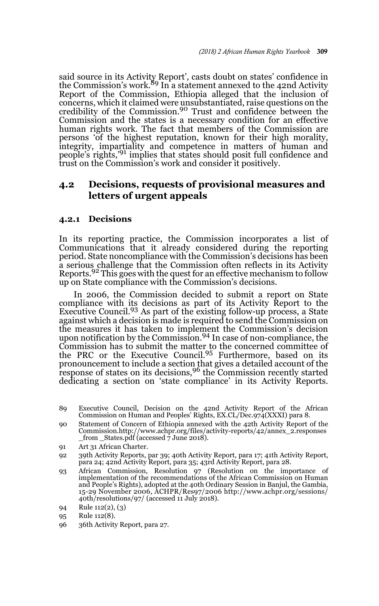said source in its Activity Report', casts doubt on states' confidence in<br>the Commission's work.<sup>89</sup> In a statement annexed to the 42nd Activity Report of the Commission, Ethiopia alleged that the inclusion of concerns, which it claimed were unsubstantiated, raise questions on the credibility of the Commission.90 Trust and confidence between the Commission and the states is a necessary condition for an effective human rights work. The fact that members of the Commission are persons 'of the highest reputation, known for their high morality, integrity, impartiality and competence in matters of human and people's rights,<sup>'91</sup> implies that states should posit full confidence and trust on the Commission's work and consider it positively.

## **4.2 Decisions, requests of provisional measures and letters of urgent appeals**

## **4.2.1 Decisions**

In its reporting practice, the Commission incorporates a list of Communications that it already considered during the reporting period. State noncompliance with the Commission's decisions has been a serious challenge that the Commission often reflects in its Activity Reports.<sup>92</sup> This goes with the quest for an effective mechanism to follow up on State compliance with the Commission's decisions.

In 2006, the Commission decided to submit a report on State compliance with its decisions as part of its Activity Report to the<br>Executive Council.<sup>93</sup> As part of the existing follow-up process, a State against which a decision is made is required to send the Commission on the measures it has taken to implement the Commission's decision upon notification by the Commission.<sup>94</sup> In case of non-compliance, the Commission has to submit the matter to the concerned committee of the PRC or the Executive Council.95 Furthermore, based on its pronouncement to include a section that gives a detailed account of the<br>response of states on its decisions,<sup>96</sup> the Commission recently started dedicating a section on 'state compliance' in its Activity Reports.

- 89 Executive Council, Decision on the 42nd Activity Report of the African Commission on Human and Peoples' Rights, EX.CL/Dec.974(XXXI) para 8.
- 90 Statement of Concern of Ethiopia annexed with the 42th Activity Report of the Commission.http://www.achpr.org/files/activity-reports/42/annex\_2.responses \_from \_States.pdf (accessed 7 June 2018).
- 91 Art 31 African Charter.
- 92 39th Activity Reports, par 39; 40th Activity Report, para 17; 41th Activity Report, para 24; 42nd Activity Report, para 35; 43rd Activity Report, para 28.
- 93 African Commission, Resolution 97 (Resolution on the importance of implementation of the recommendations of the African Commission on Human and People's Rights), adopted at the 40th Ordinary Session in Banjul, the Gambia, 15-29 November 2006, ACHPR/Res97/2006 http://www.achpr.org/sessions/ 40th/resolutions/97/ (accessed 11 July 2018).

<sup>94</sup> Rule 112(2), (3)

<sup>95</sup> Rule 112(8).

<sup>96 36</sup>th Activity Report, para 27.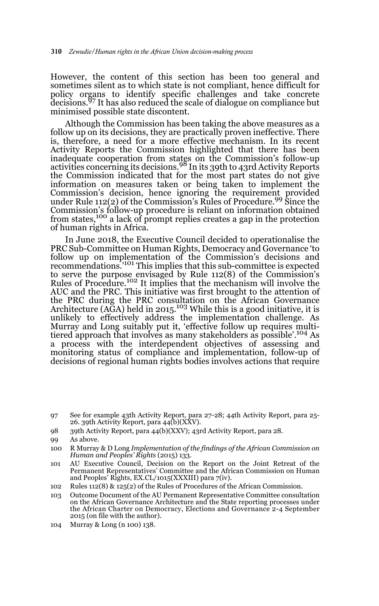However, the content of this section has been too general and sometimes silent as to which state is not compliant, hence difficult for policy organs to identify specific challenges and take concrete decisions.97 It has also reduced the scale of dialogue on compliance but minimised possible state discontent.

Although the Commission has been taking the above measures as a follow up on its decisions, they are practically proven ineffective. There is, therefore, a need for a more effective mechanism. In its recent Activity Reports the Commission highlighted that there has been inadequate cooperation from states on the Commission's follow-up activities concerning its decisions.98 In its 39th to 43rd Activity Reports the Commission indicated that for the most part states do not give information on measures taken or being taken to implement the Commission's decision, hence ignoring the requirement provided under Rule 112(2) of the Commission's Rules of Procedure.99 Since the Commission's follow-up procedure is reliant on information obtained from states,100 a lack of prompt replies creates a gap in the protection of human rights in Africa.

In June 2018, the Executive Council decided to operationalise the PRC Sub-Committee on Human Rights, Democracy and Governance 'to follow up on implementation of the Commission's decisions and recommendations.'101 This implies that this sub-committee is expected to serve the purpose envisaged by Rule 112(8) of the Commission's Rules of Procedure.<sup>102</sup> It implies that the mechanism will involve the AUC and the PRC. This initiative was first brought to the attention of the PRC during the PRC consultation on the African Governance Architecture (AGA) held in 2015.<sup>103</sup> While this is a good initiative, it is unlikely to effectively address the implementation challenge. As Murray and Long suitably put it, 'effective follow up requires multitiered approach that involves as many stakeholders as possible'.104 As a process with the interdependent objectives of assessing and monitoring status of compliance and implementation, follow-up of decisions of regional human rights bodies involves actions that require

98 39th Activity Report, para 44(b)(XXV); 43rd Activity Report, para 28.

- 101 AU Executive Council, Decision on the Report on the Joint Retreat of the Permanent Representatives' Committee and the African Commission on Human and Peoples' Rights, EX.CL/1015(XXXIII) para 7(iv).
- 102 Rules 112(8) & 125(2) of the Rules of Procedures of the African Commission.
- 103 Outcome Document of the AU Permanent Representative Committee consultation on the African Governance Architecture and the State reporting processes under the African Charter on Democracy, Elections and Governance 2-4 September 2015 (on file with the author).
- 104 Murray & Long (n 100) 138.

<sup>97</sup> See for example 43th Activity Report, para 27-28; 44th Activity Report, para 25- 26. 39th Activity Report, para  $44(b)(\overleftrightarrow{XXV})$ .

<sup>99</sup> As above.

<sup>100</sup> R Murray & D Long *Implementation of the findings of the African Commission on Human and Peoples' Rights* (2015) 133.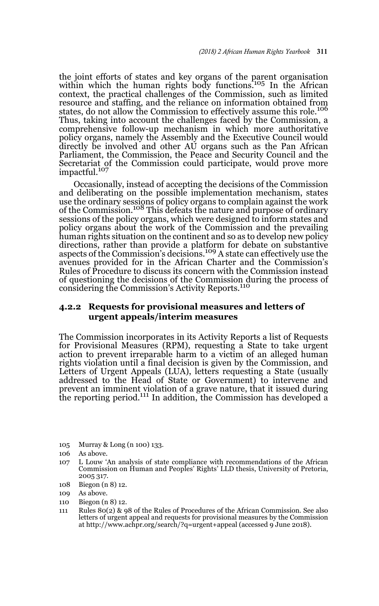the joint efforts of states and key organs of the parent organisation within which the human rights body functions.<sup>105</sup> In the African context, the practical challenges of the Commission, such as limited resource and staffing, and the reliance on information obtained from states, do not allow the Commission to effectively assume this role.<sup>106</sup> Thus, taking into account the challenges faced by the Commission, a comprehensive follow-up mechanism in which more authoritative policy organs, namely the Assembly and the Executive Council would directly be involved and other AU organs such as the Pan African Parliament, the Commission, the Peace and Security Council and the Secretariat of the Commission could participate, would prove more impactful.<sup>107</sup>

Occasionally, instead of accepting the decisions of the Commission and deliberating on the possible implementation mechanism, states use the ordinary sessions of policy organs to complain against the work<br>of the Commission.<sup>108</sup> This defeats the nature and purpose of ordinary sessions of the policy organs, which were designed to inform states and policy organs about the work of the Commission and the prevailing human rights situation on the continent and so as to develop new policy directions, rather than provide a platform for debate on substantive aspects of the Commission's decisions.109 A state can effectively use the avenues provided for in the African Charter and the Commission's Rules of Procedure to discuss its concern with the Commission instead of questioning the decisions of the Commission during the process of considering the Commission's Activity Reports.<sup>110</sup>

## **4.2.2 Requests for provisional measures and letters of urgent appeals/interim measures**

The Commission incorporates in its Activity Reports a list of Requests for Provisional Measures (RPM), requesting a State to take urgent action to prevent irreparable harm to a victim of an alleged human rights violation until a final decision is given by the Commission, and Letters of Urgent Appeals (LUA), letters requesting a State (usually addressed to the Head of State or Government) to intervene and prevent an imminent violation of a grave nature, that it issued during the reporting period.<sup>111</sup> In addition, the Commission has developed a

- 105 Murray & Long (n 100) 133.
- 106 As above.
- 107 L Louw 'An analysis of state compliance with recommendations of the African Commission on Human and Peoples' Rights' LLD thesis, University of Pretoria, 2005 317.
- 108 Biegon (n 8) 12.
- 109 As above.
- 110 Biegon (n 8) 12.
- 111 Rules 80(2) & 98 of the Rules of Procedures of the African Commission. See also letters of urgent appeal and requests for provisional measures by the Commission at http://www.achpr.org/search/?q=urgent+appeal (accessed 9 June 2018).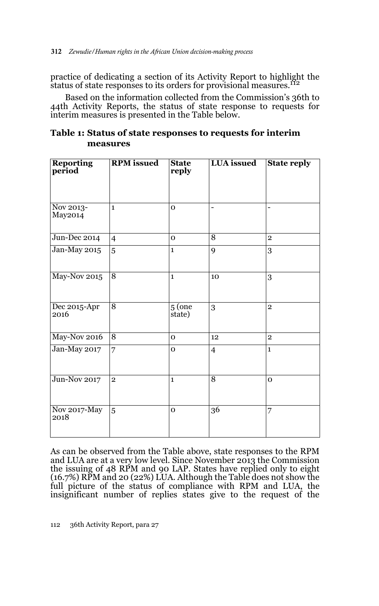practice of dedicating a section of its Activity Report to highlight the status of state responses to its orders for provisional measures.<sup>112</sup>

Based on the information collected from the Commission's 36th to 44th Activity Reports, the status of state response to requests for interim measures is presented in the Table below.

|          | Table 1: Status of state responses to requests for interim |
|----------|------------------------------------------------------------|
| measures |                                                            |

| Reporting<br>period  | <b>RPM</b> issued | <b>State</b><br>reply | <b>LUA</b> issued | <b>State reply</b> |
|----------------------|-------------------|-----------------------|-------------------|--------------------|
| Nov 2013-<br>May2014 | $\mathbf{1}$      | $\mathbf{o}$          |                   |                    |
| Jun-Dec 2014         | $\overline{4}$    | $\mathbf{O}$          | 8                 | $\overline{2}$     |
| Jan-May 2015         | 5                 | $\mathbf{1}$          | 9                 | 3                  |
| May-Nov 2015         | 8                 | $\mathbf{1}$          | 10                | 3                  |
| Dec 2015-Apr<br>2016 | 8                 | $5($ one<br>state)    | 3                 | $\overline{2}$     |
| May-Nov 2016         | $\overline{8}$    | $\mathbf{o}$          | 12                | $\overline{2}$     |
| Jan-May 2017         | 7                 | $\mathbf{o}$          | $\overline{4}$    | $\mathbf{1}$       |
| <b>Jun-Nov 2017</b>  | $\overline{2}$    | $\mathbf{1}$          | $\overline{8}$    | $\mathbf 0$        |
| Nov 2017-May<br>2018 | 5                 | $\mathbf 0$           | 36                | 7                  |

As can be observed from the Table above, state responses to the RPM and LUA are at a very low level. Since November 2013 the Commission the issuing of 48 RPM and 90 LAP. States have replied only to eight (16.7%) RPM and 20 (22%) LUA. Although the Table does not show the full picture of the status of compliance with RPM and LUA, the insignificant number of replies states give to the request of the

112 36th Activity Report, para 27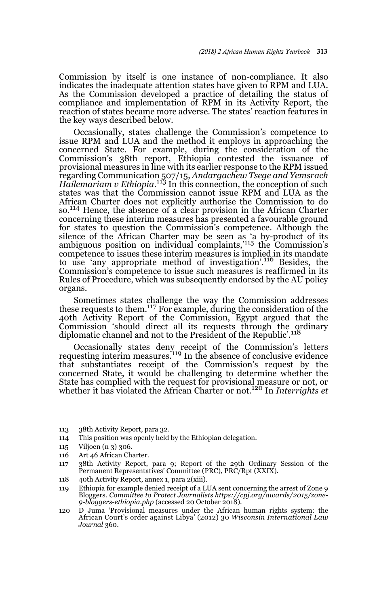Commission by itself is one instance of non-compliance. It also indicates the inadequate attention states have given to RPM and LUA. As the Commission developed a practice of detailing the status of compliance and implementation of RPM in its Activity Report, the reaction of states became more adverse. The states' reaction features in the key ways described below.

Occasionally, states challenge the Commission's competence to issue RPM and LUA and the method it employs in approaching the concerned State. For example, during the consideration of the Commission's 38th report, Ethiopia contested the issuance of provisional measures in line with its earlier response to the RPM issued regarding Communication 507/15, *Andargachew Tsege and Yemsrach Hailemariam v Ethiopia*. 113 In this connection, the conception of such states was that the Commission cannot issue RPM and LUA as the African Charter does not explicitly authorise the Commission to do so.114 Hence, the absence of a clear provision in the African Charter concerning these interim measures has presented a favourable ground for states to question the Commission's competence. Although the silence of the African Charter may be seen as 'a by-product of its ambiguous position on individual complaints,'115 the Commission's competence to issues these interim measures is implied in its mandate to use 'any appropriate method of investigation'.116 Besides, the Commission's competence to issue such measures is reaffirmed in its Rules of Procedure, which was subsequently endorsed by the AU policy organs.

Sometimes states challenge the way the Commission addresses these requests to them.117 For example, during the consideration of the 40th Activity Report of the Commission, Egypt argued that the Commission 'should direct all its requests through the ordinary<br>diplomatic channel and not to the President of the Republic'.<sup>118</sup>

Occasionally states deny receipt of the Commission's letters requesting interim measures.<sup>119</sup> In the absence of conclusive evidence that substantiates receipt of the Commission's request by the concerned State, it would be challenging to determine whether the State has complied with the request for provisional measure or not, or whether it has violated the African Charter or not.120 In *Interrights et*

- 113 38th Activity Report, para 32.
- 114 This position was openly held by the Ethiopian delegation.
- 115 Viljoen (n 3) 306.
- 116 Art 46 African Charter.
- 117 38th Activity Report, para 9; Report of the 29th Ordinary Session of the Permanent Representatives' Committee (PRC), PRC/Rpt (XXIX).
- 118 40th Activity Report, annex 1, para 2(xiii).
- 119 Ethiopia for example denied receipt of a LUA sent concerning the arrest of Zone 9 Bloggers. *Committee to Protect Journalists https://cpj.org/awards/2015/zone-9-bloggers-ethiopia.php* (accessed 20 October 2018).
- 120 D Juma 'Provisional measures under the African human rights system: the African Court's order against Libya' (2012) 30 *Wisconsin International Law Journal* 360.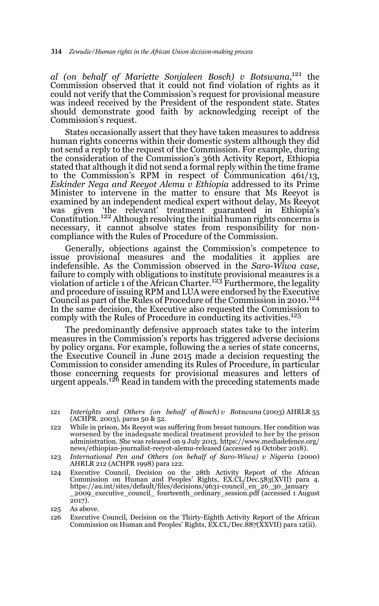*al (on behalf of Mariette Sonjaleen Bosch) v Botswana,*121 the Commission observed that it could not find violation of rights as it could not verify that the Commission's request for provisional measure was indeed received by the President of the respondent state. States should demonstrate good faith by acknowledging receipt of the Commission's request.

States occasionally assert that they have taken measures to address human rights concerns within their domestic system although they did not send a reply to the request of the Commission. For example, during the consideration of the Commission's 36th Activity Report, Ethiopia stated that although it did not send a formal reply within the time frame to the Commission's RPM in respect of Communication 461/13, *Eskinder Nega and Reeyot Alemu v Ethiopia* addressed to its Prime Minister to intervene in the matter to ensure that Ms Reeyot is examined by an independent medical expert without delay, Ms Reeyot was given 'the relevant' treatment guaranteed in Ethiopia's Constitution.122 Although resolving the initial human rights concerns is necessary, it cannot absolve states from responsibility for noncompliance with the Rules of Procedure of the Commission.

Generally, objections against the Commission's competence to issue provisional measures and the modalities it applies are indefensible. As the Commission observed in the *Saro-Wiwa case,* failure to comply with obligations to institute provisional measures is a<br>violation of article 1 of the African Charter.<sup>123</sup> Furthermore, the legality and procedure of issuing RPM and LUA were endorsed by the Executive Council as part of the Rules of Procedure of the Commission in 2010.<sup>124</sup> In the same decision, the Executive also requested the Commission to comply with the Rules of Procedure in conducting its activities.<sup>125</sup>

The predominantly defensive approach states take to the interim measures in the Commission's reports has triggered adverse decisions by policy organs. For example, following the a series of state concerns, the Executive Council in June 2015 made a decision requesting the Commission to consider amending its Rules of Procedure, in particular those concerning requests for provisional measures and letters of<br>urgent appeals.<sup>126</sup> Read in tandem with the preceding statements made

- 121 *Interights and Others (on behalf of Bosch) v Botswana* (2003) AHRLR 55 (ACHPR. 2003), paras 50 & 52.
- 122 While in prison, Ms Reeyot was suffering from breast tumours. Her condition was worsened by the inadequate medical treatment provided to her by the prison administration. She was released on 9 July 2015. https://www.mediadefence.org/ news/ethiopian-journalist-reeyot-alemu-released (accessed 19 October 2018).
- 123 *International Pen and Others (on behalf of Saro-Wiwa) v Nigeria* (2000) AHRLR 212 (ACHPR 1998) para 122.
- 124 Executive Council, Decision on the 28th Activity Report of the African Commission on Human and Peoples' Rights, EX.CL/Dec.583(XVII) para 4. https://au.int/sites/default/files/decisions/9631-council\_en\_26\_30\_january \_2009\_executive\_council\_ fourteenth\_ordinary\_session.pdf (accessed 1 August 2017).
- 125 As above.
- 126 Executive Council, Decision on the Thirty-Eighth Activity Report of the African Commission on Human and Peoples' Rights, EX.CL/Dec.887(XXVII) para 12(ii).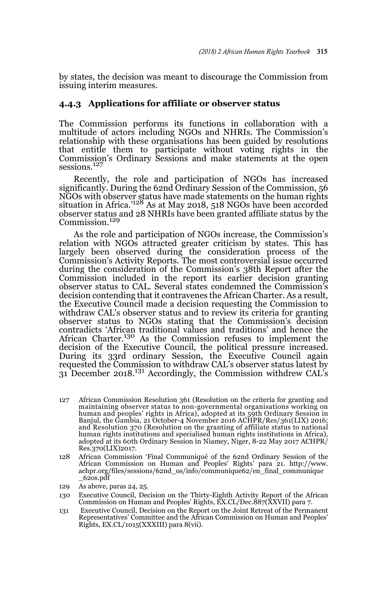by states, the decision was meant to discourage the Commission from issuing interim measures.

### **4.4.3 Applications for affiliate or observer status**

The Commission performs its functions in collaboration with a multitude of actors including NGOs and NHRIs. The Commission's relationship with these organisations has been guided by resolutions that entitle them to participate without voting rights in the Commission's Ordinary Sessions and make statements at the open sessions.<sup>127</sup>

Recently, the role and participation of NGOs has increased significantly. During the 62nd Ordinary Session of the Commission, 56 NGOs with observer status have made statements on the human rights situation in Africa.'128 As at May 2018, 518 NGOs have been accorded observer status and 28 NHRIs have been granted affiliate status by the Commission.<sup>129</sup>

As the role and participation of NGOs increase, the Commission's relation with NGOs attracted greater criticism by states. This has largely been observed during the consideration process of the Commission's Activity Reports. The most controversial issue occurred during the consideration of the Commission's 38th Report after the Commission included in the report its earlier decision granting observer status to CAL. Several states condemned the Commission's decision contending that it contravenes the African Charter. As a result, the Executive Council made a decision requesting the Commission to withdraw CAL's observer status and to review its criteria for granting observer status to NGOs stating that the Commission's decision contradicts 'African traditional values and traditions' and hence the African Charter.130 As the Commission refuses to implement the decision of the Executive Council, the political pressure increased. During its 33rd ordinary Session, the Executive Council again requested the Commission to withdraw CAL's observer status latest by 31 December 2018.131 Accordingly, the Commission withdrew CAL's

- 127 African Commission Resolution 361 (Resolution on the criteria for granting and maintaining observer status to non-governmental organisations working on human and peoples' rights in Africa), adopted at its 59th Ordinary Session in Banjul, the Gambia, 21 October-4 November 2016 ACHPR/Res/361(LIX) 2016; and Resolution 370 (Resolution on the granting of affiliate status to national human rights institutions and specialised human rights institutions in Africa), adopted at its 60th Ordinary Session in Niamey, Niger, 8-22 May 2017 ACHPR/ Res.370(LIX)2017.
- 128 African Commission 'Final Communiqué of the 62nd Ordinary Session of the African Commission on Human and Peoples' Rights' para 21. http://www. achpr.org/files/sessions/62nd\_os/info/communique62/en\_final\_communique  $_6$ <sub>2</sub>os.pdf
- 129 As above, paras 24, 25.
- 130 Executive Council, Decision on the Thirty-Eighth Activity Report of the African Commission on Human and Peoples' Rights, EX.CL/Dec.887(XXVII) para 7.
- 131 Executive Council, Decision on the Report on the Joint Retreat of the Permanent Representatives' Committee and the African Commission on Human and Peoples' Rights, EX.CL/1015(XXXIII) para 8(vii).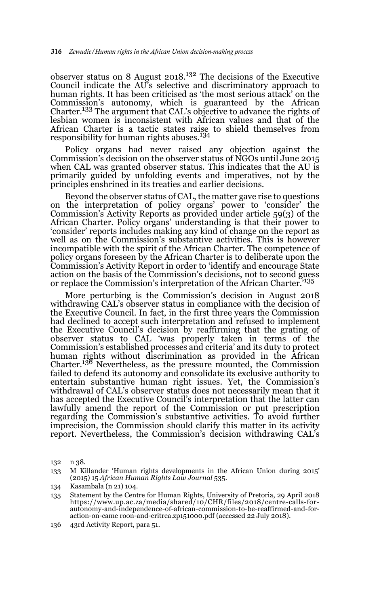observer status on 8 August 2018.132 The decisions of the Executive Council indicate the AU's selective and discriminatory approach to human rights. It has been criticised as 'the most serious attack' on the Commission's autonomy, which is guaranteed by the African Charter.133 The argument that CAL's objective to advance the rights of lesbian women is inconsistent with African values and that of the African Charter is a tactic states raise to shield themselves from<br>responsibility for human rights abuses.<sup>134</sup>

Policy organs had never raised any objection against the Commission's decision on the observer status of NGOs until June 2015 when CAL was granted observer status. This indicates that the AU is primarily guided by unfolding events and imperatives, not by the principles enshrined in its treaties and earlier decisions.

Beyond the observer status of CAL, the matter gave rise to questions on the interpretation of policy organs' power to 'consider' the Commission's Activity Reports as provided under article 59(3) of the African Charter. Policy organs' understanding is that their power to 'consider' reports includes making any kind of change on the report as well as on the Commission's substantive activities. This is however incompatible with the spirit of the African Charter. The competence of policy organs foreseen by the African Charter is to deliberate upon the Commission's Activity Report in order to 'identify and encourage State action on the basis of the Commission's decisions, not to second guess or replace the Commission's interpretation of the African Charter.'135

More perturbing is the Commission's decision in August 2018 withdrawing CAL's observer status in compliance with the decision of the Executive Council. In fact, in the first three years the Commission had declined to accept such interpretation and refused to implement the Executive Council's decision by reaffirming that the grating of observer status to CAL 'was properly taken in terms of the Commission's established processes and criteria' and its duty to protect human rights without discrimination as provided in the African Charter.<sup>136</sup> Nevertheless, as the pressure mounted, the Commission failed to defend its autonomy and consolidate its exclusive authority to entertain substantive human right issues. Yet, the Commission's withdrawal of CAL's observer status does not necessarily mean that it has accepted the Executive Council's interpretation that the latter can lawfully amend the report of the Commission or put prescription regarding the Commission's substantive activities. To avoid further imprecision, the Commission should clarify this matter in its activity report. Nevertheless, the Commission's decision withdrawing CAL's

<sup>132</sup> n 38.

<sup>133</sup> M Killander 'Human rights developments in the African Union during 2015' (2015) 15 *African Human Rights Law Journal* 535.

<sup>134</sup> Kasambala (n 21) 104.

<sup>135</sup> Statement by the Centre for Human Rights, University of Pretoria, 29 April 2018 https://www.up.ac.za/media/shared/10/CHR/files/2018/centre-calls-forautonomy-and-independence-of-african-commission-to-be-reaffirmed-and-foraction-on-came roon-and-eritrea.zp151000.pdf (accessed 22 July 2018).

<sup>136 43</sup>rd Activity Report, para 51.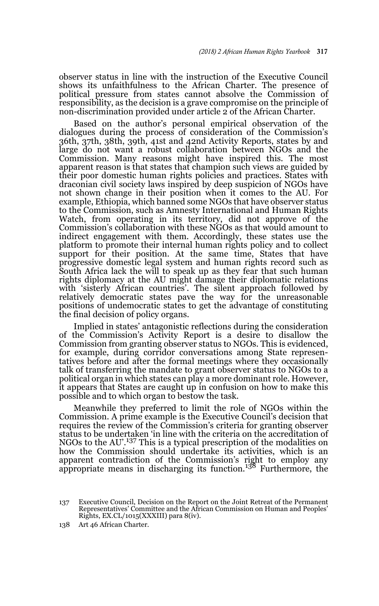observer status in line with the instruction of the Executive Council shows its unfaithfulness to the African Charter. The presence of political pressure from states cannot absolve the Commission of responsibility, as the decision is a grave compromise on the principle of non-discrimination provided under article 2 of the African Charter.

Based on the author's personal empirical observation of the dialogues during the process of consideration of the Commission's 36th, 37th, 38th, 39th, 41st and 42nd Activity Reports, states by and large do not want a robust collaboration between NGOs and the Commission. Many reasons might have inspired this. The most apparent reason is that states that champion such views are guided by their poor domestic human rights policies and practices. States with draconian civil society laws inspired by deep suspicion of NGOs have not shown change in their position when it comes to the AU. For example, Ethiopia, which banned some NGOs that have observer status to the Commission, such as Amnesty International and Human Rights Watch, from operating in its territory, did not approve of the Commission's collaboration with these NGOs as that would amount to indirect engagement with them. Accordingly, these states use the platform to promote their internal human rights policy and to collect support for their position. At the same time, States that have progressive domestic legal system and human rights record such as South Africa lack the will to speak up as they fear that such human rights diplomacy at the AU might damage their diplomatic relations with 'sisterly African countries'. The silent approach followed by relatively democratic states pave the way for the unreasonable positions of undemocratic states to get the advantage of constituting the final decision of policy organs.

Implied in states' antagonistic reflections during the consideration of the Commission's Activity Report is a desire to disallow the Commission from granting observer status to NGOs. This is evidenced, for example, during corridor conversations among State representatives before and after the formal meetings where they occasionally talk of transferring the mandate to grant observer status to NGOs to a political organ in which states can play a more dominant role. However, it appears that States are caught up in confusion on how to make this possible and to which organ to bestow the task.

Meanwhile they preferred to limit the role of NGOs within the Commission. A prime example is the Executive Council's decision that requires the review of the Commission's criteria for granting observer status to be undertaken 'in line with the criteria on the accreditation of NGOs to the AU'.<sup>137</sup> This is a typical prescription of the modalities on how the Commission should undertake its activities, which is an apparent contradiction of the Commission's right to employ any appropriate means in discharging its function.138 Furthermore, the

<sup>137</sup> Executive Council, Decision on the Report on the Joint Retreat of the Permanent Representatives' Committee and the African Commission on Human and Peoples' Rights, EX.CL/1015(XXXIII) para 8(iv).

<sup>138</sup> Art 46 African Charter.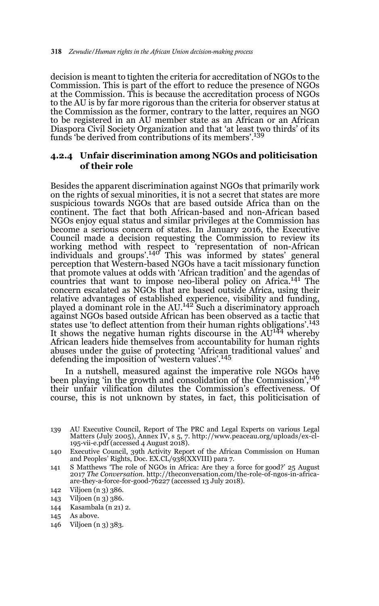decision is meant to tighten the criteria for accreditation of NGOs to the Commission. This is part of the effort to reduce the presence of NGOs at the Commission. This is because the accreditation process of NGOs to the AU is by far more rigorous than the criteria for observer status at the Commission as the former, contrary to the latter, requires an NGO to be registered in an AU member state as an African or an African Diaspora Civil Society Organization and that 'at least two thirds' of its funds 'be derived from contributions of its members'.139

## **4.2.4 Unfair discrimination among NGOs and politicisation of their role**

Besides the apparent discrimination against NGOs that primarily work on the rights of sexual minorities, it is not a secret that states are more suspicious towards NGOs that are based outside Africa than on the continent. The fact that both African-based and non-African based NGOs enjoy equal status and similar privileges at the Commission has become a serious concern of states. In January 2016, the Executive Council made a decision requesting the Commission to review its working method with respect to 'representation of non-African individuals and groups'.140 This was informed by states' general perception that Western-based NGOs have a tacit missionary function that promote values at odds with 'African tradition' and the agendas of countries that want to impose neo-liberal policy on Africa.141 The concern escalated as NGOs that are based outside Africa, using their relative advantages of established experience, visibility and funding,<br>played a dominant role in the AU.<sup>142</sup> Such a discriminatory approach against NGOs based outside African has been observed as a tactic that states use 'to deflect attention from their human rights obligations'.143 It shows the negative human rights discourse in the AU<sup>144</sup> whereby African leaders hide themselves from accountability for human rights abuses under the guise of protecting 'African traditional values' and defending the imposition of 'western values'.<sup>145</sup>

In a nutshell, measured against the imperative role NGOs have been playing 'in the growth and consolidation of the Commission',146 their unfair vilification dilutes the Commission's effectiveness. Of course, this is not unknown by states, in fact, this politicisation of

144 Kasambala (n 21) 2.

146 Viljoen (n 3) 383.

<sup>139</sup> AU Executive Council, Report of The PRC and Legal Experts on various Legal Matters (July 2005), Annex IV, s 5, 7. http://www.peaceau.org/uploads/ex-cl-195-vii-e.pdf (accessed 4 August 2018).

<sup>140</sup> Executive Council, 39th Activity Report of the African Commission on Human and Peoples' Rights, Doc. EX.CL/938(XXVIII) para 7.

<sup>141</sup> S Matthews 'The role of NGOs in Africa: Are they a force for good?' 25 August 2017 *The Conversation.* http://theconversation.com/the-role-of-ngos-in-africaare-they-a-force-for-good-76227 (accessed 13 July 2018).

<sup>142</sup> Viljoen (n 3) 386.

<sup>143</sup> Viljoen (n 3) 386.

<sup>145</sup> As above.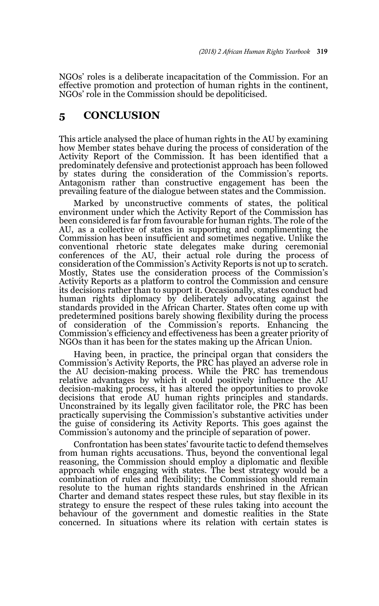NGOs' roles is a deliberate incapacitation of the Commission. For an effective promotion and protection of human rights in the continent, NGOs' role in the Commission should be depoliticised.

# **5 CONCLUSION**

This article analysed the place of human rights in the AU by examining how Member states behave during the process of consideration of the Activity Report of the Commission. It has been identified that a predominately defensive and protectionist approach has been followed by states during the consideration of the Commission's reports. Antagonism rather than constructive engagement has been the prevailing feature of the dialogue between states and the Commission.

Marked by unconstructive comments of states, the political environment under which the Activity Report of the Commission has been considered is far from favourable for human rights. The role of the AU, as a collective of states in supporting and complimenting the Commission has been insufficient and sometimes negative. Unlike the conventional rhetoric state delegates make during ceremonial conferences of the AU, their actual role during the process of consideration of the Commission's Activity Reports is not up to scratch. Mostly, States use the consideration process of the Commission's Activity Reports as a platform to control the Commission and censure its decisions rather than to support it. Occasionally, states conduct bad human rights diplomacy by deliberately advocating against the standards provided in the African Charter. States often come up with predetermined positions barely showing flexibility during the process of consideration of the Commission's reports. Enhancing the Commission's efficiency and effectiveness has been a greater priority of NGOs than it has been for the states making up the African Union.

Having been, in practice, the principal organ that considers the Commission's Activity Reports, the PRC has played an adverse role in the AU decision-making process. While the PRC has tremendous relative advantages by which it could positively influence the AU decision-making process, it has altered the opportunities to provoke decisions that erode AU human rights principles and standards. Unconstrained by its legally given facilitator role, the PRC has been practically supervising the Commission's substantive activities under the guise of considering its Activity Reports. This goes against the Commission's autonomy and the principle of separation of power.

Confrontation has been states' favourite tactic to defend themselves from human rights accusations. Thus, beyond the conventional legal reasoning, the Commission should employ a diplomatic and flexible approach while engaging with states. The best strategy would be a combination of rules and flexibility; the Commission should remain resolute to the human rights standards enshrined in the African Charter and demand states respect these rules, but stay flexible in its strategy to ensure the respect of these rules taking into account the behaviour of the government and domestic realities in the State concerned. In situations where its relation with certain states is